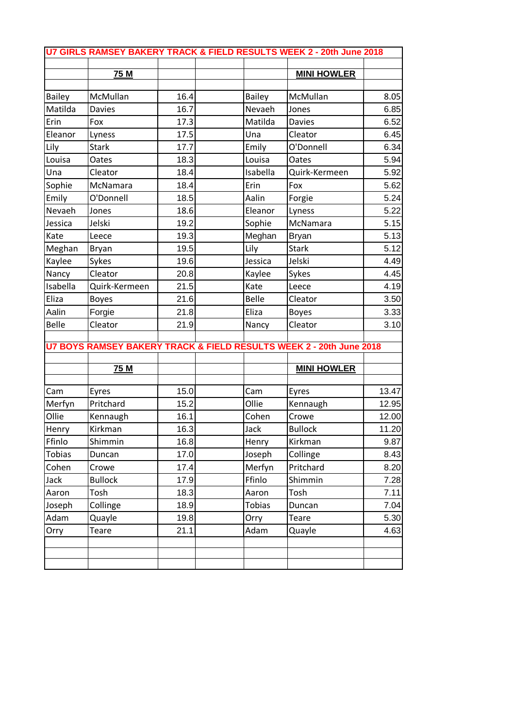| U7 GIRLS RAMSEY BAKERY TRACK & FIELD RESULTS WEEK 2 - 20th June 2018 |                |      |  |               |                                                                     |       |  |
|----------------------------------------------------------------------|----------------|------|--|---------------|---------------------------------------------------------------------|-------|--|
|                                                                      |                |      |  |               |                                                                     |       |  |
|                                                                      | 75 M           |      |  |               | <b>MINI HOWLER</b>                                                  |       |  |
| <b>Bailey</b>                                                        | McMullan       | 16.4 |  | <b>Bailey</b> | McMullan                                                            | 8.05  |  |
| Matilda                                                              | <b>Davies</b>  | 16.7 |  | Nevaeh        | Jones                                                               | 6.85  |  |
| Erin                                                                 | Fox            | 17.3 |  | Matilda       | <b>Davies</b>                                                       | 6.52  |  |
| Eleanor                                                              | Lyness         | 17.5 |  | Una           | Cleator                                                             | 6.45  |  |
| Lily                                                                 | <b>Stark</b>   | 17.7 |  | Emily         | O'Donnell                                                           | 6.34  |  |
| Louisa                                                               | Oates          | 18.3 |  | Louisa        | Oates                                                               | 5.94  |  |
| Una                                                                  | Cleator        | 18.4 |  | Isabella      | Quirk-Kermeen                                                       | 5.92  |  |
| Sophie                                                               | McNamara       | 18.4 |  | Erin          | Fox                                                                 | 5.62  |  |
| Emily                                                                | O'Donnell      | 18.5 |  | Aalin         | Forgie                                                              | 5.24  |  |
| Nevaeh                                                               | Jones          | 18.6 |  | Eleanor       | Lyness                                                              | 5.22  |  |
| Jessica                                                              | Jelski         | 19.2 |  | Sophie        | McNamara                                                            | 5.15  |  |
| Kate                                                                 | Leece          | 19.3 |  | Meghan        | <b>Bryan</b>                                                        | 5.13  |  |
| Meghan                                                               | Bryan          | 19.5 |  | Lily          | <b>Stark</b>                                                        | 5.12  |  |
| Kaylee                                                               | Sykes          | 19.6 |  | Jessica       | Jelski                                                              | 4.49  |  |
| Nancy                                                                | Cleator        | 20.8 |  | Kaylee        | Sykes                                                               | 4.45  |  |
| Isabella                                                             | Quirk-Kermeen  | 21.5 |  | Kate          | Leece                                                               | 4.19  |  |
| Eliza                                                                | <b>Boyes</b>   | 21.6 |  | <b>Belle</b>  | Cleator                                                             | 3.50  |  |
| Aalin                                                                | Forgie         | 21.8 |  | Eliza         | <b>Boyes</b>                                                        | 3.33  |  |
| Belle                                                                | Cleator        | 21.9 |  | Nancy         | Cleator                                                             | 3.10  |  |
|                                                                      |                |      |  |               | U7 BOYS RAMSEY BAKERY TRACK & FIELD RESULTS WEEK 2 - 20th June 2018 |       |  |
|                                                                      |                |      |  |               |                                                                     |       |  |
|                                                                      | 75 M           |      |  |               | <b>MINI HOWLER</b>                                                  |       |  |
| Cam                                                                  | Eyres          | 15.0 |  | Cam           | Eyres                                                               | 13.47 |  |
| Merfyn                                                               | Pritchard      | 15.2 |  | Ollie         | Kennaugh                                                            | 12.95 |  |
| Ollie                                                                | Kennaugh       | 16.1 |  | Cohen         | Crowe                                                               | 12.00 |  |
| Henry                                                                | Kirkman        | 16.3 |  | Jack          | <b>Bullock</b>                                                      | 11.20 |  |
| Ffinlo                                                               | Shimmin        | 16.8 |  | Henry         | Kirkman                                                             | 9.87  |  |
| <b>Tobias</b>                                                        | Duncan         | 17.0 |  | Joseph        | Collinge                                                            | 8.43  |  |
| Cohen                                                                | Crowe          | 17.4 |  | Merfyn        | Pritchard                                                           | 8.20  |  |
| Jack                                                                 | <b>Bullock</b> | 17.9 |  | Ffinlo        | Shimmin                                                             | 7.28  |  |
| Aaron                                                                | Tosh           | 18.3 |  | Aaron         | Tosh                                                                | 7.11  |  |
| Joseph                                                               | Collinge       | 18.9 |  | <b>Tobias</b> | Duncan                                                              | 7.04  |  |
| Adam                                                                 | Quayle         | 19.8 |  | Orry          | <b>Teare</b>                                                        | 5.30  |  |
| Orry                                                                 | Teare          | 21.1 |  | Adam          | Quayle                                                              | 4.63  |  |
|                                                                      |                |      |  |               |                                                                     |       |  |
|                                                                      |                |      |  |               |                                                                     |       |  |
|                                                                      |                |      |  |               |                                                                     |       |  |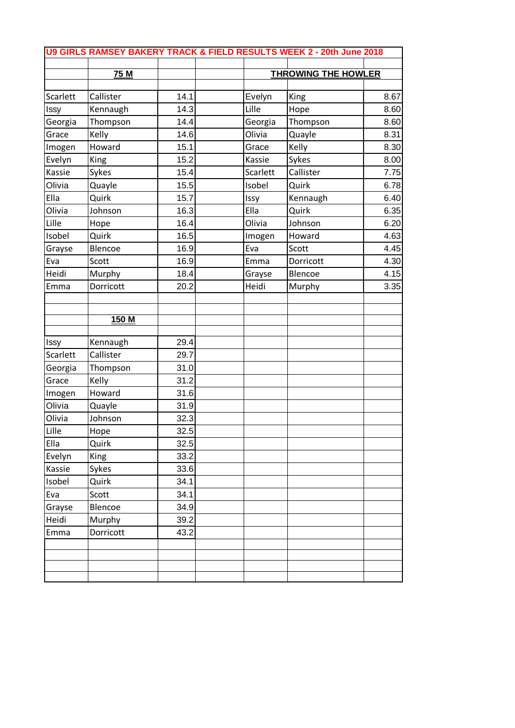| U9 GIRLS RAMSEY BAKERY TRACK & FIELD RESULTS WEEK 2 - 20th June 2018 |             |      |  |          |                            |      |  |
|----------------------------------------------------------------------|-------------|------|--|----------|----------------------------|------|--|
|                                                                      |             |      |  |          |                            |      |  |
|                                                                      | 75 M        |      |  |          | <b>THROWING THE HOWLER</b> |      |  |
| Scarlett                                                             | Callister   | 14.1 |  | Evelyn   | King                       | 8.67 |  |
| Issy                                                                 | Kennaugh    | 14.3 |  | Lille    | Hope                       | 8.60 |  |
| Georgia                                                              | Thompson    | 14.4 |  | Georgia  | Thompson                   | 8.60 |  |
| Grace                                                                | Kelly       | 14.6 |  | Olivia   | Quayle                     | 8.31 |  |
| Imogen                                                               | Howard      | 15.1 |  | Grace    | Kelly                      | 8.30 |  |
| Evelyn                                                               | King        | 15.2 |  | Kassie   | Sykes                      | 8.00 |  |
| Kassie                                                               | Sykes       | 15.4 |  | Scarlett | Callister                  | 7.75 |  |
| Olivia                                                               | Quayle      | 15.5 |  | Isobel   | Quirk                      | 6.78 |  |
| Ella                                                                 | Quirk       | 15.7 |  | Issy     | Kennaugh                   | 6.40 |  |
| Olivia                                                               | Johnson     | 16.3 |  | Ella     | Quirk                      | 6.35 |  |
| Lille                                                                | Hope        | 16.4 |  | Olivia   | Johnson                    | 6.20 |  |
| Isobel                                                               | Quirk       | 16.5 |  | Imogen   | Howard                     | 4.63 |  |
| Grayse                                                               | Blencoe     | 16.9 |  | Eva      | Scott                      | 4.45 |  |
| Eva                                                                  | Scott       | 16.9 |  | Emma     | Dorricott                  | 4.30 |  |
| Heidi                                                                | Murphy      | 18.4 |  | Grayse   | Blencoe                    | 4.15 |  |
| Emma                                                                 | Dorricott   | 20.2 |  | Heidi    | Murphy                     | 3.35 |  |
|                                                                      |             |      |  |          |                            |      |  |
|                                                                      |             |      |  |          |                            |      |  |
|                                                                      | 150 M       |      |  |          |                            |      |  |
| Issy                                                                 | Kennaugh    | 29.4 |  |          |                            |      |  |
| Scarlett                                                             | Callister   | 29.7 |  |          |                            |      |  |
| Georgia                                                              | Thompson    | 31.0 |  |          |                            |      |  |
| Grace                                                                | Kelly       | 31.2 |  |          |                            |      |  |
| Imogen                                                               | Howard      | 31.6 |  |          |                            |      |  |
| Olivia                                                               | Quayle      | 31.9 |  |          |                            |      |  |
| Olivia                                                               | Johnson     | 32.3 |  |          |                            |      |  |
| <b>L</b> ille                                                        | Hope        | 32.5 |  |          |                            |      |  |
| Ella                                                                 | Quirk       | 32.5 |  |          |                            |      |  |
| Evelyn                                                               | <b>King</b> | 33.2 |  |          |                            |      |  |
| Kassie                                                               | Sykes       | 33.6 |  |          |                            |      |  |
| Isobel                                                               | Quirk       | 34.1 |  |          |                            |      |  |
| Eva                                                                  | Scott       | 34.1 |  |          |                            |      |  |
| Grayse                                                               | Blencoe     | 34.9 |  |          |                            |      |  |
| Heidi                                                                | Murphy      | 39.2 |  |          |                            |      |  |
| Emma                                                                 | Dorricott   | 43.2 |  |          |                            |      |  |
|                                                                      |             |      |  |          |                            |      |  |
|                                                                      |             |      |  |          |                            |      |  |
|                                                                      |             |      |  |          |                            |      |  |
|                                                                      |             |      |  |          |                            |      |  |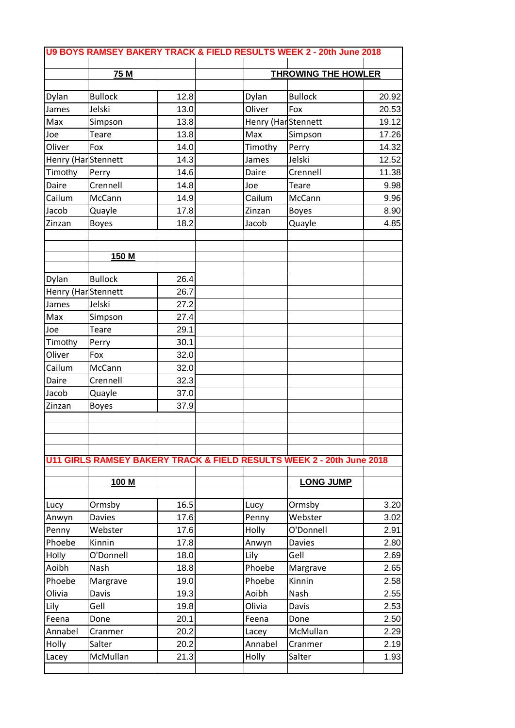| U9 BOYS RAMSEY BAKERY TRACK & FIELD RESULTS WEEK 2 - 20th June 2018 |                |      |                            |                     |                                                                       |       |  |
|---------------------------------------------------------------------|----------------|------|----------------------------|---------------------|-----------------------------------------------------------------------|-------|--|
| 75 M                                                                |                |      | <b>THROWING THE HOWLER</b> |                     |                                                                       |       |  |
|                                                                     |                |      |                            |                     |                                                                       |       |  |
| Dylan                                                               | <b>Bullock</b> | 12.8 |                            | Dylan               | <b>Bullock</b>                                                        | 20.92 |  |
| James                                                               | Jelski         | 13.0 |                            | Oliver              | Fox                                                                   | 20.53 |  |
| Max                                                                 | Simpson        | 13.8 |                            | Henry (Har Stennett |                                                                       | 19.12 |  |
| Joe                                                                 | <b>Teare</b>   | 13.8 |                            | Max                 | Simpson                                                               | 17.26 |  |
| Oliver                                                              | Fox            | 14.0 |                            | Timothy             | Perry                                                                 | 14.32 |  |
| Henry (Har Stennett                                                 |                | 14.3 |                            | James               | Jelski                                                                | 12.52 |  |
| Timothy                                                             | Perry          | 14.6 |                            | Daire               | Crennell                                                              | 11.38 |  |
| Daire                                                               | Crennell       | 14.8 |                            | Joe                 | Teare                                                                 | 9.98  |  |
| Cailum                                                              | McCann         | 14.9 |                            | Cailum              | McCann                                                                | 9.96  |  |
| Jacob                                                               | Quayle         | 17.8 |                            | Zinzan              | <b>Boyes</b>                                                          | 8.90  |  |
| Zinzan                                                              | <b>Boyes</b>   | 18.2 |                            | Jacob               | Quayle                                                                | 4.85  |  |
|                                                                     | 150 M          |      |                            |                     |                                                                       |       |  |
|                                                                     |                |      |                            |                     |                                                                       |       |  |
| Dylan                                                               | <b>Bullock</b> | 26.4 |                            |                     |                                                                       |       |  |
| Henry (Har Stennett                                                 |                | 26.7 |                            |                     |                                                                       |       |  |
| James                                                               | Jelski         | 27.2 |                            |                     |                                                                       |       |  |
| Max                                                                 | Simpson        | 27.4 |                            |                     |                                                                       |       |  |
| Joe                                                                 | Teare          | 29.1 |                            |                     |                                                                       |       |  |
| Timothy                                                             | Perry          | 30.1 |                            |                     |                                                                       |       |  |
| Oliver                                                              | Fox            | 32.0 |                            |                     |                                                                       |       |  |
| Cailum                                                              | McCann         | 32.0 |                            |                     |                                                                       |       |  |
| Daire                                                               | Crennell       | 32.3 |                            |                     |                                                                       |       |  |
| Jacob                                                               | Quayle         | 37.0 |                            |                     |                                                                       |       |  |
| Zinzan                                                              | <b>Boyes</b>   | 37.9 |                            |                     |                                                                       |       |  |
|                                                                     |                |      |                            |                     |                                                                       |       |  |
|                                                                     |                |      |                            |                     |                                                                       |       |  |
|                                                                     |                |      |                            |                     |                                                                       |       |  |
|                                                                     |                |      |                            |                     | U11 GIRLS RAMSEY BAKERY TRACK & FIELD RESULTS WEEK 2 - 20th June 2018 |       |  |
|                                                                     | 100 M          |      |                            |                     | <b>LONG JUMP</b>                                                      |       |  |
|                                                                     |                |      |                            |                     |                                                                       |       |  |
| Lucy                                                                | Ormsby         | 16.5 |                            | Lucy                | Ormsby                                                                | 3.20  |  |
| Anwyn                                                               | <b>Davies</b>  | 17.6 |                            | Penny               | Webster                                                               | 3.02  |  |
| Penny                                                               | Webster        | 17.6 |                            | Holly               | O'Donnell                                                             | 2.91  |  |
| Phoebe                                                              | Kinnin         | 17.8 |                            | Anwyn               | <b>Davies</b>                                                         | 2.80  |  |
| Holly                                                               | O'Donnell      | 18.0 |                            | Lily                | Gell                                                                  | 2.69  |  |
| Aoibh                                                               | Nash           | 18.8 |                            | Phoebe              | Margrave                                                              | 2.65  |  |
| Phoebe                                                              | Margrave       | 19.0 |                            | Phoebe              | Kinnin                                                                | 2.58  |  |
| Olivia                                                              | Davis          | 19.3 |                            | Aoibh               | Nash                                                                  | 2.55  |  |
| Lily                                                                | Gell           | 19.8 |                            | Olivia              | Davis                                                                 | 2.53  |  |
| Feena                                                               | Done           | 20.1 |                            | Feena               | Done                                                                  | 2.50  |  |
| Annabel                                                             | Cranmer        | 20.2 |                            | Lacey               | McMullan                                                              | 2.29  |  |
| Holly                                                               | Salter         | 20.2 |                            | Annabel             | Cranmer                                                               | 2.19  |  |
| Lacey                                                               | McMullan       | 21.3 |                            | Holly               | Salter                                                                | 1.93  |  |
|                                                                     |                |      |                            |                     |                                                                       |       |  |